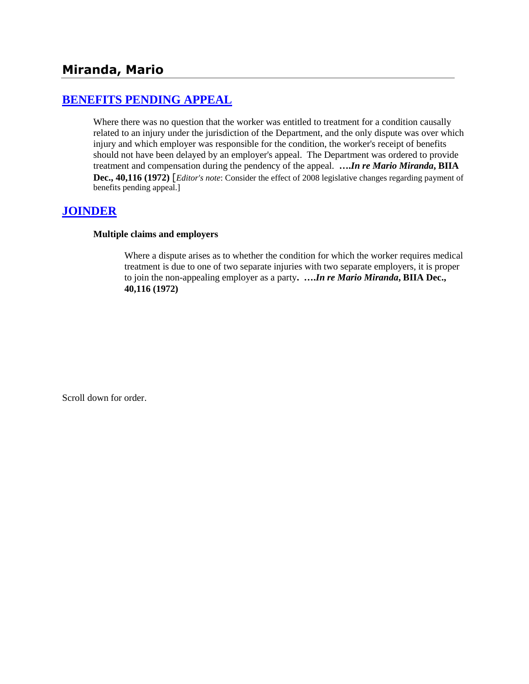## **[BENEFITS PENDING APPEAL](http://www.biia.wa.gov/SDSubjectIndex.html#BENEFITS_PENDING_APPEAL)**

Where there was no question that the worker was entitled to treatment for a condition causally related to an injury under the jurisdiction of the Department, and the only dispute was over which injury and which employer was responsible for the condition, the worker's receipt of benefits should not have been delayed by an employer's appeal. The Department was ordered to provide treatment and compensation during the pendency of the appeal. **….***In re Mario Miranda***, BIIA Dec., 40,116 (1972)** [*Editor's note*: Consider the effect of 2008 legislative changes regarding payment of benefits pending appeal.]

## **[JOINDER](http://www.biia.wa.gov/SDSubjectIndex.html#JOINDER)**

### **Multiple claims and employers**

Where a dispute arises as to whether the condition for which the worker requires medical treatment is due to one of two separate injuries with two separate employers, it is proper to join the non-appealing employer as a party**. ….***In re Mario Miranda***, BIIA Dec., 40,116 (1972)** 

Scroll down for order.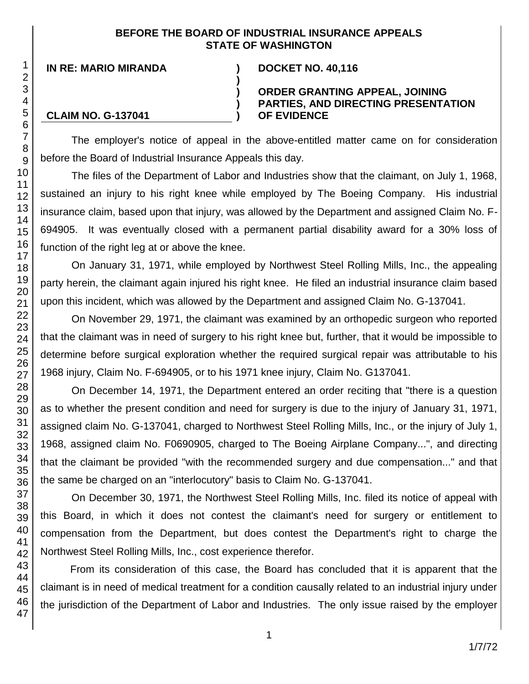### **BEFORE THE BOARD OF INDUSTRIAL INSURANCE APPEALS STATE OF WASHINGTON**

**)**

**) ) )**

**IN RE: MARIO MIRANDA ) DOCKET NO. 40,116**

### **ORDER GRANTING APPEAL, JOINING PARTIES, AND DIRECTING PRESENTATION OF EVIDENCE**

### **CLAIM NO. G-137041**

The employer's notice of appeal in the above-entitled matter came on for consideration before the Board of Industrial Insurance Appeals this day.

The files of the Department of Labor and Industries show that the claimant, on July 1, 1968, sustained an injury to his right knee while employed by The Boeing Company. His industrial insurance claim, based upon that injury, was allowed by the Department and assigned Claim No. F-694905. It was eventually closed with a permanent partial disability award for a 30% loss of function of the right leg at or above the knee.

On January 31, 1971, while employed by Northwest Steel Rolling Mills, Inc., the appealing party herein, the claimant again injured his right knee. He filed an industrial insurance claim based upon this incident, which was allowed by the Department and assigned Claim No. G-137041.

On November 29, 1971, the claimant was examined by an orthopedic surgeon who reported that the claimant was in need of surgery to his right knee but, further, that it would be impossible to determine before surgical exploration whether the required surgical repair was attributable to his 1968 injury, Claim No. F-694905, or to his 1971 knee injury, Claim No. G137041.

On December 14, 1971, the Department entered an order reciting that "there is a question as to whether the present condition and need for surgery is due to the injury of January 31, 1971, assigned claim No. G-137041, charged to Northwest Steel Rolling Mills, Inc., or the injury of July 1, 1968, assigned claim No. F0690905, charged to The Boeing Airplane Company...", and directing that the claimant be provided "with the recommended surgery and due compensation..." and that the same be charged on an "interlocutory" basis to Claim No. G-137041.

On December 30, 1971, the Northwest Steel Rolling Mills, Inc. filed its notice of appeal with this Board, in which it does not contest the claimant's need for surgery or entitlement to compensation from the Department, but does contest the Department's right to charge the Northwest Steel Rolling Mills, Inc., cost experience therefor.

From its consideration of this case, the Board has concluded that it is apparent that the claimant is in need of medical treatment for a condition causally related to an industrial injury under the jurisdiction of the Department of Labor and Industries. The only issue raised by the employer